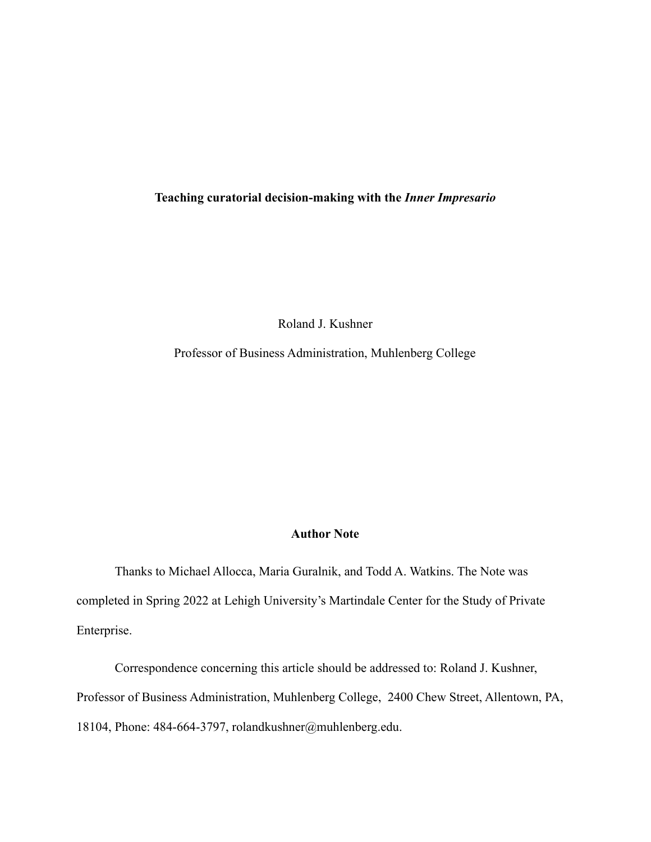### **Teaching curatorial decision-making with the** *Inner Impresario*

Roland J. Kushner

Professor of Business Administration, Muhlenberg College

## **Author Note**

Thanks to Michael Allocca, Maria Guralnik, and Todd A. Watkins. The Note was completed in Spring 2022 at Lehigh University's Martindale Center for the Study of Private Enterprise.

Correspondence concerning this article should be addressed to: Roland J. Kushner, Professor of Business Administration, Muhlenberg College, 2400 Chew Street, Allentown, PA, 18104, Phone: 484-664-3797, rolandkushner@muhlenberg.edu.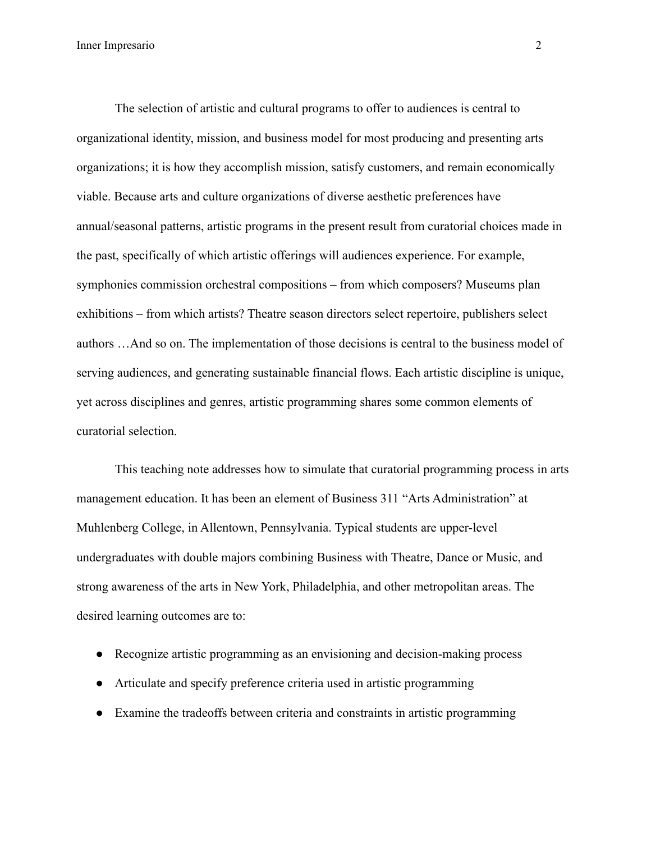The selection of artistic and cultural programs to offer to audiences is central to organizational identity, mission, and business model for most producing and presenting arts organizations; it is how they accomplish mission, satisfy customers, and remain economically viable. Because arts and culture organizations of diverse aesthetic preferences have annual/seasonal patterns, artistic programs in the present result from curatorial choices made in the past, specifically of which artistic offerings will audiences experience. For example, symphonies commission orchestral compositions – from which composers? Museums plan exhibitions – from which artists? Theatre season directors select repertoire, publishers select authors …And so on. The implementation of those decisions is central to the business model of serving audiences, and generating sustainable financial flows. Each artistic discipline is unique, yet across disciplines and genres, artistic programming shares some common elements of curatorial selection.

This teaching note addresses how to simulate that curatorial programming process in arts management education. It has been an element of Business 311 "Arts Administration" at Muhlenberg College, in Allentown, Pennsylvania. Typical students are upper-level undergraduates with double majors combining Business with Theatre, Dance or Music, and strong awareness of the arts in New York, Philadelphia, and other metropolitan areas. The desired learning outcomes are to:

- Recognize artistic programming as an envisioning and decision-making process
- Articulate and specify preference criteria used in artistic programming
- Examine the tradeoffs between criteria and constraints in artistic programming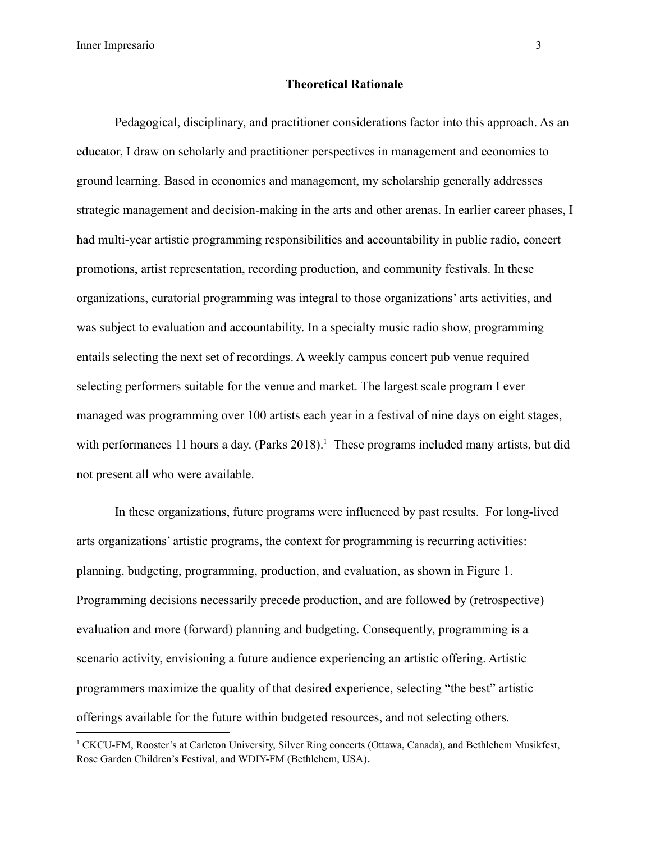Inner Impresario 3

### **Theoretical Rationale**

Pedagogical, disciplinary, and practitioner considerations factor into this approach. As an educator, I draw on scholarly and practitioner perspectives in management and economics to ground learning. Based in economics and management, my scholarship generally addresses strategic management and decision-making in the arts and other arenas. In earlier career phases, I had multi-year artistic programming responsibilities and accountability in public radio, concert promotions, artist representation, recording production, and community festivals. In these organizations, curatorial programming was integral to those organizations' arts activities, and was subject to evaluation and accountability. In a specialty music radio show, programming entails selecting the next set of recordings. A weekly campus concert pub venue required selecting performers suitable for the venue and market. The largest scale program I ever managed was programming over 100 artists each year in a festival of nine days on eight stages, with performances 11 hours a day. (Parks 2018).<sup>1</sup> These programs included many artists, but did not present all who were available.

In these organizations, future programs were influenced by past results. For long-lived arts organizations' artistic programs, the context for programming is recurring activities: planning, budgeting, programming, production, and evaluation, as shown in Figure 1. Programming decisions necessarily precede production, and are followed by (retrospective) evaluation and more (forward) planning and budgeting. Consequently, programming is a scenario activity, envisioning a future audience experiencing an artistic offering. Artistic programmers maximize the quality of that desired experience, selecting "the best" artistic offerings available for the future within budgeted resources, and not selecting others.

<sup>1</sup> CKCU-FM, Rooster's at Carleton University, Silver Ring concerts (Ottawa, Canada), and Bethlehem Musikfest, Rose Garden Children's Festival, and WDIY-FM (Bethlehem, USA).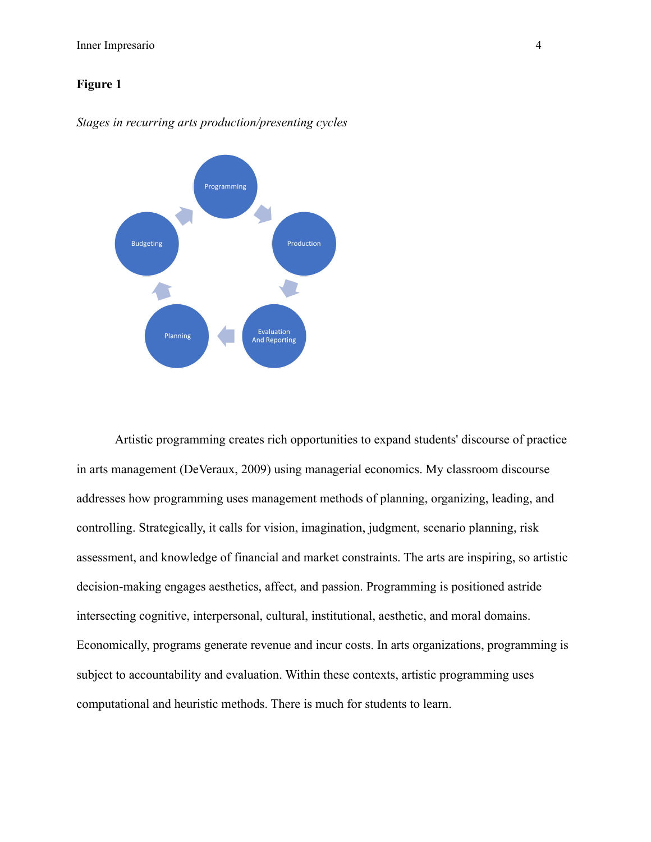# **Figure 1**



*Stages in recurring arts production/presenting cycles*

Artistic programming creates rich opportunities to expand students' discourse of practice in arts management (DeVeraux, 2009) using managerial economics. My classroom discourse addresses how programming uses management methods of planning, organizing, leading, and controlling. Strategically, it calls for vision, imagination, judgment, scenario planning, risk assessment, and knowledge of financial and market constraints. The arts are inspiring, so artistic decision-making engages aesthetics, affect, and passion. Programming is positioned astride intersecting cognitive, interpersonal, cultural, institutional, aesthetic, and moral domains. Economically, programs generate revenue and incur costs. In arts organizations, programming is subject to accountability and evaluation. Within these contexts, artistic programming uses computational and heuristic methods. There is much for students to learn.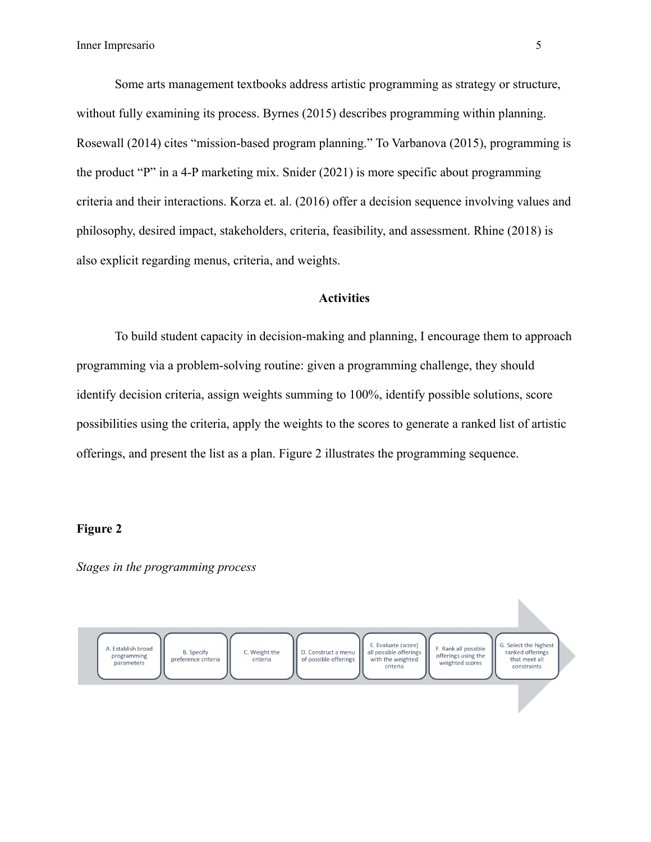Some arts management textbooks address artistic programming as strategy or structure, without fully examining its process. Byrnes (2015) describes programming within planning. Rosewall (2014) cites "mission-based program planning." To Varbanova (2015), programming is the product "P" in a 4-P marketing mix. Snider (2021) is more specific about programming criteria and their interactions. Korza et. al. (2016) offer a decision sequence involving values and philosophy, desired impact, stakeholders, criteria, feasibility, and assessment. Rhine (2018) is also explicit regarding menus, criteria, and weights.

## **Activities**

To build student capacity in decision-making and planning, I encourage them to approach programming via a problem-solving routine: given a programming challenge, they should identify decision criteria, assign weights summing to 100%, identify possible solutions, score possibilities using the criteria, apply the weights to the scores to generate a ranked list of artistic offerings, and present the list as a plan. Figure 2 illustrates the programming sequence.

### **Figure 2**

*Stages in the programming process*

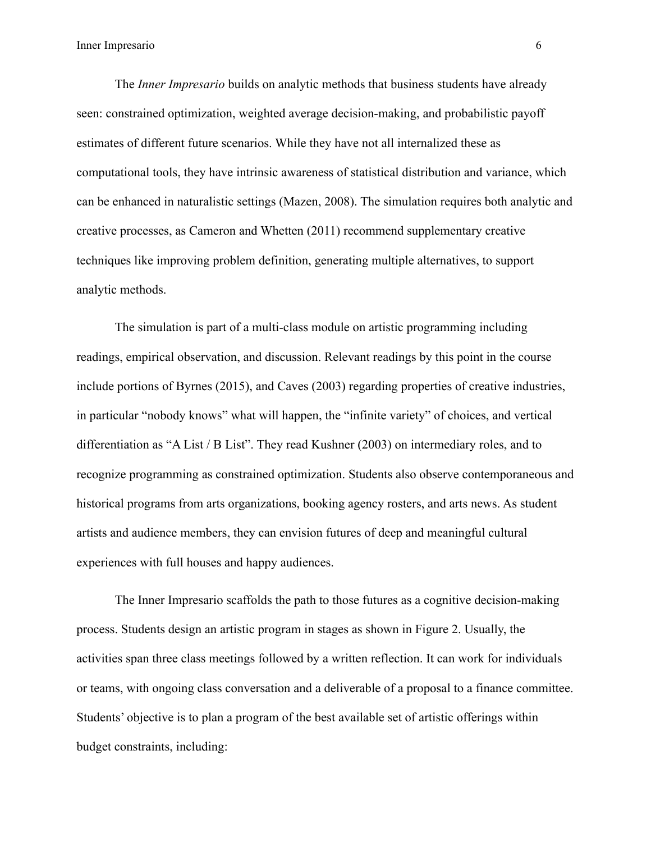The *Inner Impresario* builds on analytic methods that business students have already seen: constrained optimization, weighted average decision-making, and probabilistic payoff estimates of different future scenarios. While they have not all internalized these as computational tools, they have intrinsic awareness of statistical distribution and variance, which can be enhanced in naturalistic settings (Mazen, 2008). The simulation requires both analytic and creative processes, as Cameron and Whetten (2011) recommend supplementary creative techniques like improving problem definition, generating multiple alternatives, to support analytic methods.

The simulation is part of a multi-class module on artistic programming including readings, empirical observation, and discussion. Relevant readings by this point in the course include portions of Byrnes (2015), and Caves (2003) regarding properties of creative industries, in particular "nobody knows" what will happen, the "infinite variety" of choices, and vertical differentiation as "A List / B List". They read Kushner (2003) on intermediary roles, and to recognize programming as constrained optimization. Students also observe contemporaneous and historical programs from arts organizations, booking agency rosters, and arts news. As student artists and audience members, they can envision futures of deep and meaningful cultural experiences with full houses and happy audiences.

The Inner Impresario scaffolds the path to those futures as a cognitive decision-making process. Students design an artistic program in stages as shown in Figure 2. Usually, the activities span three class meetings followed by a written reflection. It can work for individuals or teams, with ongoing class conversation and a deliverable of a proposal to a finance committee. Students' objective is to plan a program of the best available set of artistic offerings within budget constraints, including: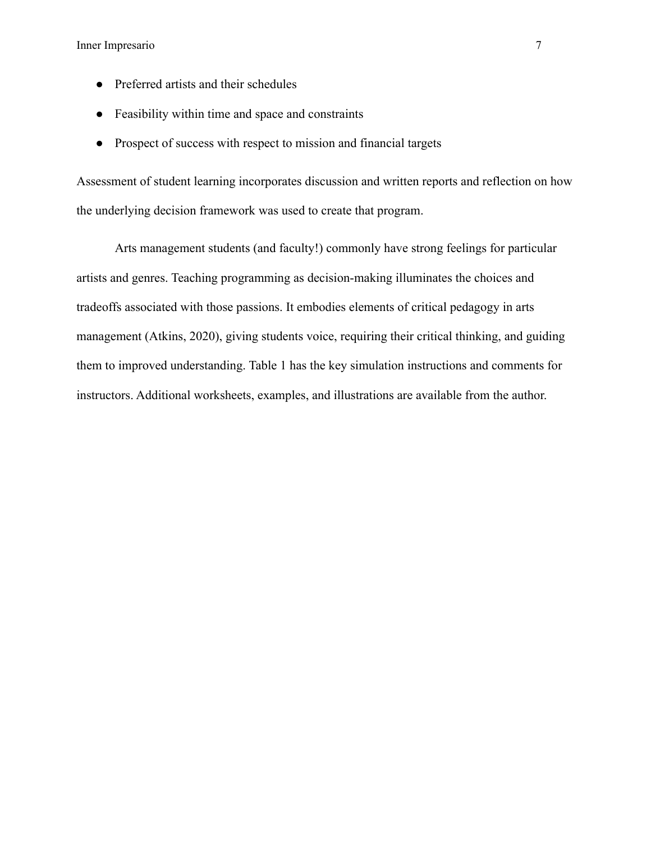- Preferred artists and their schedules
- Feasibility within time and space and constraints
- Prospect of success with respect to mission and financial targets

Assessment of student learning incorporates discussion and written reports and reflection on how the underlying decision framework was used to create that program.

Arts management students (and faculty!) commonly have strong feelings for particular artists and genres. Teaching programming as decision-making illuminates the choices and tradeoffs associated with those passions. It embodies elements of critical pedagogy in arts management (Atkins, 2020), giving students voice, requiring their critical thinking, and guiding them to improved understanding. Table 1 has the key simulation instructions and comments for instructors. Additional worksheets, examples, and illustrations are available from the author.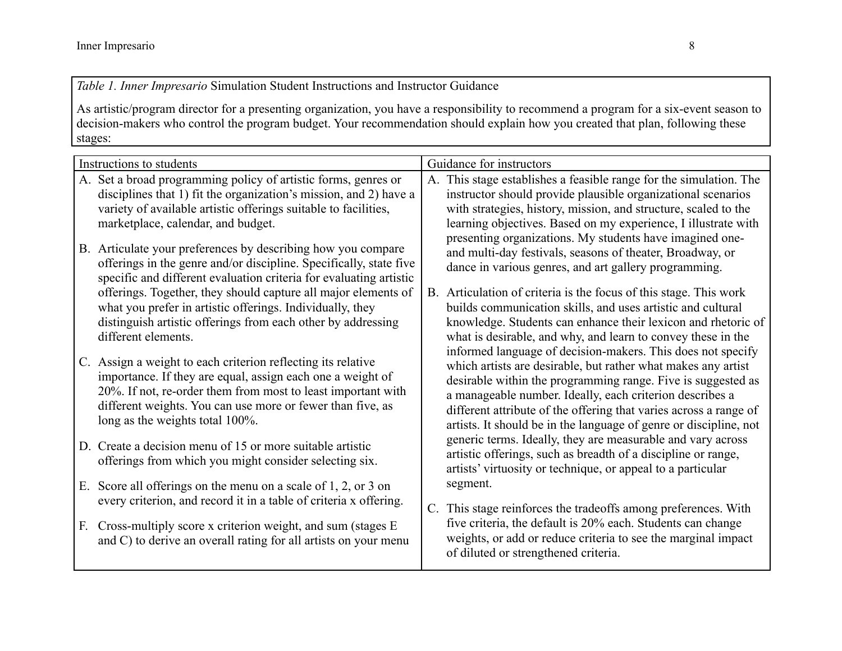*Table 1. Inner Impresario* Simulation Student Instructions and Instructor Guidance

As artistic/program director for a presenting organization, you have a responsibility to recommend a program for a six-event season to decision-makers who control the program budget. Your recommendation should explain how you created that plan, following these stages:

| Instructions to students                                                                                                                                                                                                                                                                    | Guidance for instructors                                                                                                                                                                                                                                                                                                                                                                           |  |  |
|---------------------------------------------------------------------------------------------------------------------------------------------------------------------------------------------------------------------------------------------------------------------------------------------|----------------------------------------------------------------------------------------------------------------------------------------------------------------------------------------------------------------------------------------------------------------------------------------------------------------------------------------------------------------------------------------------------|--|--|
| A. Set a broad programming policy of artistic forms, genres or                                                                                                                                                                                                                              | A. This stage establishes a feasible range for the simulation. The                                                                                                                                                                                                                                                                                                                                 |  |  |
| disciplines that 1) fit the organization's mission, and 2) have a                                                                                                                                                                                                                           | instructor should provide plausible organizational scenarios                                                                                                                                                                                                                                                                                                                                       |  |  |
| variety of available artistic offerings suitable to facilities,                                                                                                                                                                                                                             | with strategies, history, mission, and structure, scaled to the                                                                                                                                                                                                                                                                                                                                    |  |  |
| marketplace, calendar, and budget.                                                                                                                                                                                                                                                          | learning objectives. Based on my experience, I illustrate with                                                                                                                                                                                                                                                                                                                                     |  |  |
| B. Articulate your preferences by describing how you compare                                                                                                                                                                                                                                | presenting organizations. My students have imagined one-                                                                                                                                                                                                                                                                                                                                           |  |  |
| offerings in the genre and/or discipline. Specifically, state five                                                                                                                                                                                                                          | and multi-day festivals, seasons of theater, Broadway, or                                                                                                                                                                                                                                                                                                                                          |  |  |
| specific and different evaluation criteria for evaluating artistic                                                                                                                                                                                                                          | dance in various genres, and art gallery programming.                                                                                                                                                                                                                                                                                                                                              |  |  |
| offerings. Together, they should capture all major elements of                                                                                                                                                                                                                              | B. Articulation of criteria is the focus of this stage. This work                                                                                                                                                                                                                                                                                                                                  |  |  |
| what you prefer in artistic offerings. Individually, they                                                                                                                                                                                                                                   | builds communication skills, and uses artistic and cultural                                                                                                                                                                                                                                                                                                                                        |  |  |
| distinguish artistic offerings from each other by addressing                                                                                                                                                                                                                                | knowledge. Students can enhance their lexicon and rhetoric of                                                                                                                                                                                                                                                                                                                                      |  |  |
| different elements.                                                                                                                                                                                                                                                                         | what is desirable, and why, and learn to convey these in the                                                                                                                                                                                                                                                                                                                                       |  |  |
| C. Assign a weight to each criterion reflecting its relative<br>importance. If they are equal, assign each one a weight of<br>20%. If not, re-order them from most to least important with<br>different weights. You can use more or fewer than five, as<br>long as the weights total 100%. | informed language of decision-makers. This does not specify<br>which artists are desirable, but rather what makes any artist<br>desirable within the programming range. Five is suggested as<br>a manageable number. Ideally, each criterion describes a<br>different attribute of the offering that varies across a range of<br>artists. It should be in the language of genre or discipline, not |  |  |
| D. Create a decision menu of 15 or more suitable artistic<br>offerings from which you might consider selecting six.                                                                                                                                                                         | generic terms. Ideally, they are measurable and vary across<br>artistic offerings, such as breadth of a discipline or range,<br>artists' virtuosity or technique, or appeal to a particular                                                                                                                                                                                                        |  |  |
| Score all offerings on the menu on a scale of $1, 2$ , or $3$ on<br>Е.<br>every criterion, and record it in a table of criteria x offering.                                                                                                                                                 | segment.<br>C. This stage reinforces the tradeoffs among preferences. With                                                                                                                                                                                                                                                                                                                         |  |  |
| Cross-multiply score x criterion weight, and sum (stages E                                                                                                                                                                                                                                  | five criteria, the default is 20% each. Students can change                                                                                                                                                                                                                                                                                                                                        |  |  |
| F.                                                                                                                                                                                                                                                                                          | weights, or add or reduce criteria to see the marginal impact                                                                                                                                                                                                                                                                                                                                      |  |  |
| and C) to derive an overall rating for all artists on your menu                                                                                                                                                                                                                             | of diluted or strengthened criteria.                                                                                                                                                                                                                                                                                                                                                               |  |  |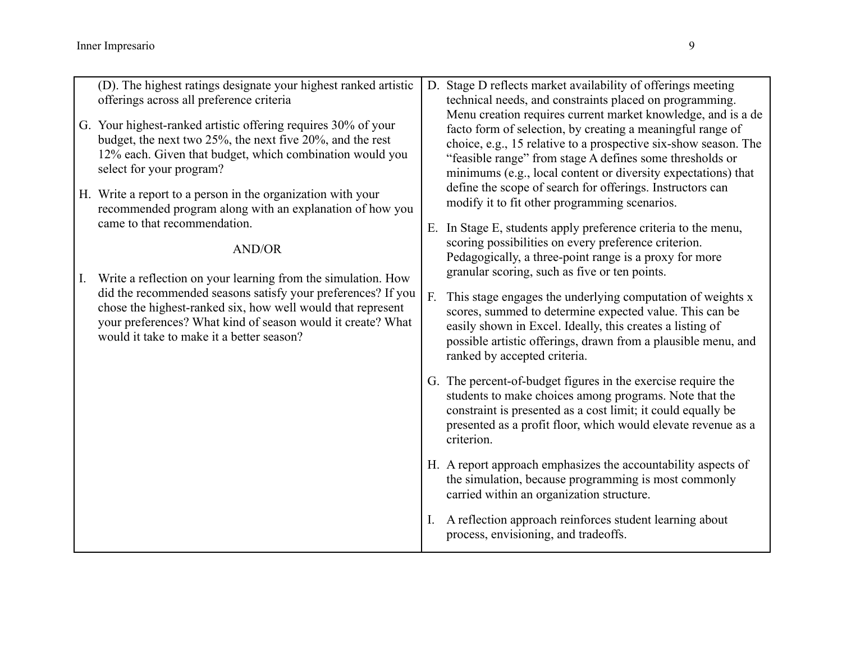| (D). The highest ratings designate your highest ranked artistic<br>offerings across all preference criteria<br>G. Your highest-ranked artistic offering requires 30% of your<br>budget, the next two $25\%$ , the next five $20\%$ , and the rest<br>12% each. Given that budget, which combination would you<br>select for your program? |           | D. Stage D reflects market availability of offerings meeting<br>technical needs, and constraints placed on programming.<br>Menu creation requires current market knowledge, and is a de<br>facto form of selection, by creating a meaningful range of<br>choice, e.g., 15 relative to a prospective six-show season. The<br>"feasible range" from stage A defines some thresholds or<br>minimums (e.g., local content or diversity expectations) that<br>define the scope of search for offerings. Instructors can<br>modify it to fit other programming scenarios.<br>E. In Stage E, students apply preference criteria to the menu,<br>scoring possibilities on every preference criterion.<br>Pedagogically, a three-point range is a proxy for more<br>granular scoring, such as five or ten points.<br>This stage engages the underlying computation of weights x<br>scores, summed to determine expected value. This can be<br>easily shown in Excel. Ideally, this creates a listing of<br>possible artistic offerings, drawn from a plausible menu, and<br>ranked by accepted criteria. |
|-------------------------------------------------------------------------------------------------------------------------------------------------------------------------------------------------------------------------------------------------------------------------------------------------------------------------------------------|-----------|-------------------------------------------------------------------------------------------------------------------------------------------------------------------------------------------------------------------------------------------------------------------------------------------------------------------------------------------------------------------------------------------------------------------------------------------------------------------------------------------------------------------------------------------------------------------------------------------------------------------------------------------------------------------------------------------------------------------------------------------------------------------------------------------------------------------------------------------------------------------------------------------------------------------------------------------------------------------------------------------------------------------------------------------------------------------------------------------------|
| H. Write a report to a person in the organization with your<br>recommended program along with an explanation of how you<br>came to that recommendation.<br><b>AND/OR</b>                                                                                                                                                                  |           |                                                                                                                                                                                                                                                                                                                                                                                                                                                                                                                                                                                                                                                                                                                                                                                                                                                                                                                                                                                                                                                                                                 |
| Write a reflection on your learning from the simulation. How<br>did the recommended seasons satisfy your preferences? If you<br>chose the highest-ranked six, how well would that represent<br>your preferences? What kind of season would it create? What<br>would it take to make it a better season?                                   | F.        |                                                                                                                                                                                                                                                                                                                                                                                                                                                                                                                                                                                                                                                                                                                                                                                                                                                                                                                                                                                                                                                                                                 |
|                                                                                                                                                                                                                                                                                                                                           |           | G. The percent-of-budget figures in the exercise require the<br>students to make choices among programs. Note that the<br>constraint is presented as a cost limit; it could equally be<br>presented as a profit floor, which would elevate revenue as a<br>criterion.                                                                                                                                                                                                                                                                                                                                                                                                                                                                                                                                                                                                                                                                                                                                                                                                                           |
|                                                                                                                                                                                                                                                                                                                                           |           | H. A report approach emphasizes the accountability aspects of<br>the simulation, because programming is most commonly<br>carried within an organization structure.                                                                                                                                                                                                                                                                                                                                                                                                                                                                                                                                                                                                                                                                                                                                                                                                                                                                                                                              |
|                                                                                                                                                                                                                                                                                                                                           | $\rm I$ . | A reflection approach reinforces student learning about<br>process, envisioning, and tradeoffs.                                                                                                                                                                                                                                                                                                                                                                                                                                                                                                                                                                                                                                                                                                                                                                                                                                                                                                                                                                                                 |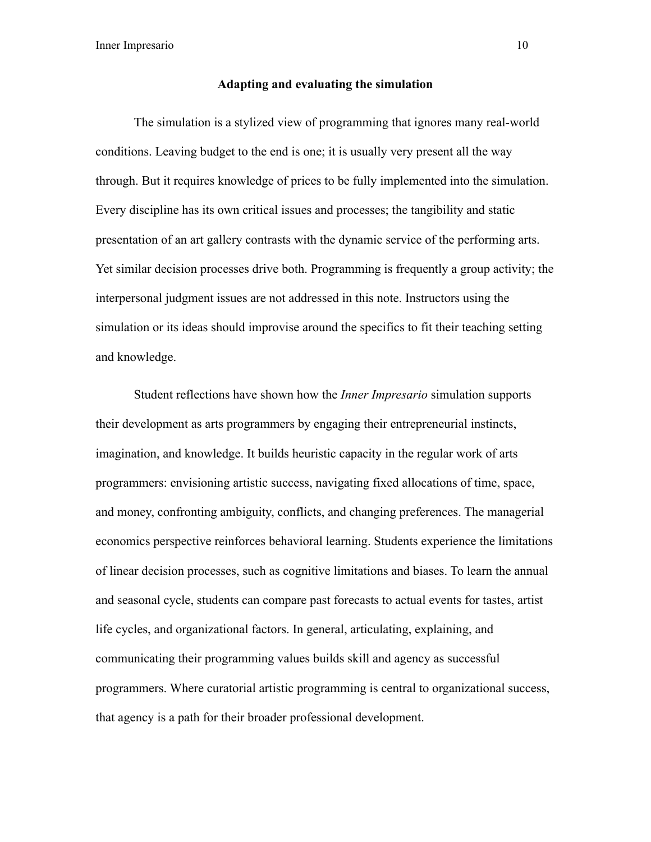Inner Impresario 10

### **Adapting and evaluating the simulation**

The simulation is a stylized view of programming that ignores many real-world conditions. Leaving budget to the end is one; it is usually very present all the way through. But it requires knowledge of prices to be fully implemented into the simulation. Every discipline has its own critical issues and processes; the tangibility and static presentation of an art gallery contrasts with the dynamic service of the performing arts. Yet similar decision processes drive both. Programming is frequently a group activity; the interpersonal judgment issues are not addressed in this note. Instructors using the simulation or its ideas should improvise around the specifics to fit their teaching setting and knowledge.

Student reflections have shown how the *Inner Impresario* simulation supports their development as arts programmers by engaging their entrepreneurial instincts, imagination, and knowledge. It builds heuristic capacity in the regular work of arts programmers: envisioning artistic success, navigating fixed allocations of time, space, and money, confronting ambiguity, conflicts, and changing preferences. The managerial economics perspective reinforces behavioral learning. Students experience the limitations of linear decision processes, such as cognitive limitations and biases. To learn the annual and seasonal cycle, students can compare past forecasts to actual events for tastes, artist life cycles, and organizational factors. In general, articulating, explaining, and communicating their programming values builds skill and agency as successful programmers. Where curatorial artistic programming is central to organizational success, that agency is a path for their broader professional development.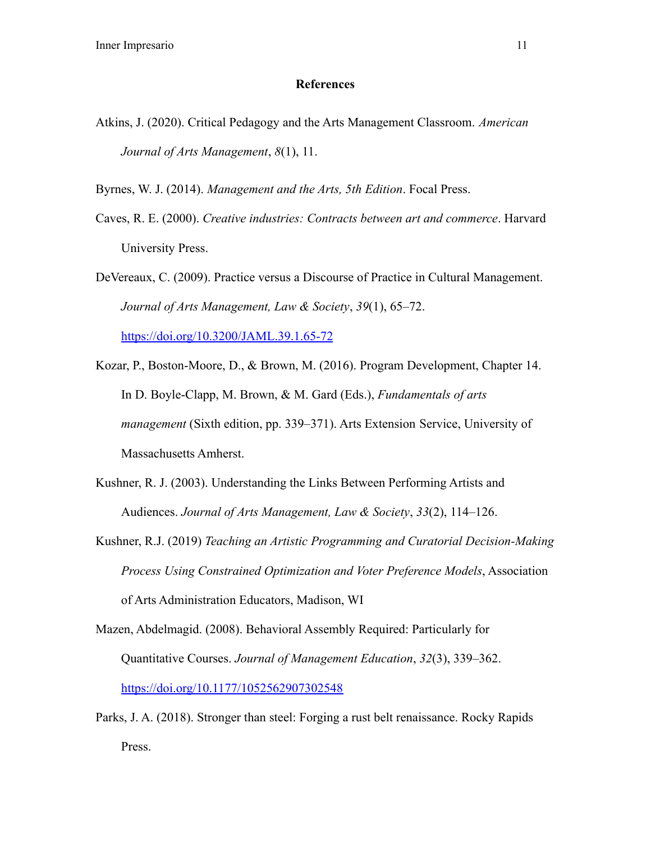### **References**

Atkins, J. (2020). Critical Pedagogy and the Arts Management Classroom. *American Journal of Arts Management*, *8*(1), 11.

Byrnes, W. J. (2014). *Management and the Arts, 5th Edition*. Focal Press.

Caves, R. E. (2000). *Creative industries: Contracts between art and commerce*. Harvard University Press.

DeVereaux, C. (2009). Practice versus a Discourse of Practice in Cultural Management. *Journal of Arts Management, Law & Society*, *39*(1), 65–72. <https://doi.org/10.3200/JAML.39.1.65-72>

- Kozar, P., Boston-Moore, D., & Brown, M. (2016). Program Development, Chapter 14. In D. Boyle-Clapp, M. Brown, & M. Gard (Eds.), *Fundamentals of arts management* (Sixth edition, pp. 339–371). Arts Extension Service, University of Massachusetts Amherst.
- Kushner, R. J. (2003). Understanding the Links Between Performing Artists and Audiences. *Journal of Arts Management, Law & Society*, *33*(2), 114–126.
- Kushner, R.J. (2019) *Teaching an Artistic Programming and Curatorial Decision-Making Process Using Constrained Optimization and Voter Preference Models*, Association of Arts Administration Educators, Madison, WI
- Mazen, Abdelmagid. (2008). Behavioral Assembly Required: Particularly for Quantitative Courses. *Journal of Management Education*, *32*(3), 339–362. <https://doi.org/10.1177/1052562907302548>
- Parks, J. A. (2018). Stronger than steel: Forging a rust belt renaissance. Rocky Rapids Press.